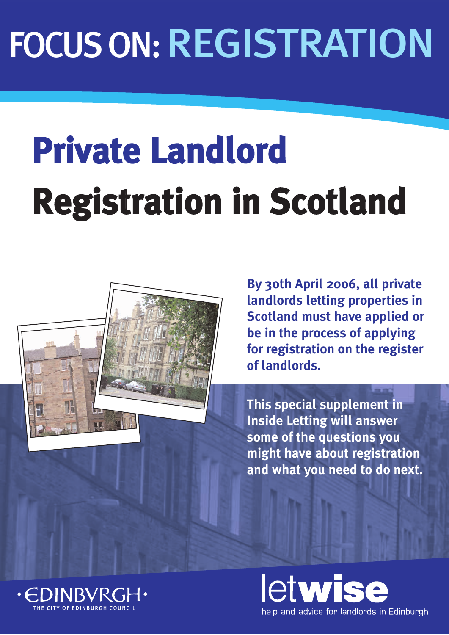## FOCUS ON: REGISTRATION

# **Private Landlord Registration in Scotland**



**By 30th April 2006, all private landlords letting properties in Scotland must have applied or be in the process of applying for registration on the register of landlords.**

**This special supplement in Inside Letting will answer some of the questions you might have about registration and what you need to do next.**



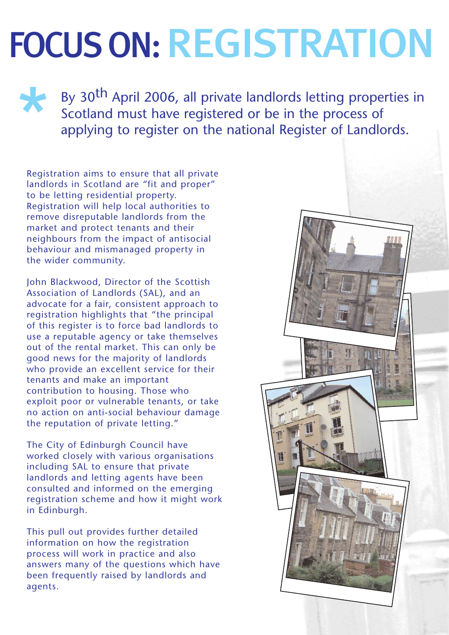## FOCUS ON: REGISTRATION

By 30<sup>th</sup> April 2006, all private landlords letting properties in Scotland must have registered or be in the process of applying to register on the national Register of Landlords. Scotland must have registered or be in the process of applying to register on the national Register of Landlords.

Registration aims to ensure that all private landlords in Scotland are "fit and proper" to be letting residential property. Registration will help local authorities to remove disreputable landlords from the market and protect tenants and their neighbours from the impact of antisocial behaviour and mismanaged property in the wider community.

John Blackwood, Director of the Scottish Association of Landlords (SAL), and an advocate for a fair, consistent approach to registration highlights that "the principal of this register is to force bad landlords to use a reputable agency or take themselves out of the rental market. This can only be good news for the majority of landlords who provide an excellent service for their tenants and make an important contribution to housing. Those who exploit poor or vulnerable tenants, or take no action on anti-social behaviour damage the reputation of private letting."

The City of Edinburgh Council have worked closely with various organisations including SAL to ensure that private landlords and letting agents have been consulted and informed on the emerging registration scheme and how it might work in Edinburgh.

This pull out provides further detailed information on how the registration process will work in practice and also answers many of the questions which have been frequently raised by landlords and agents.

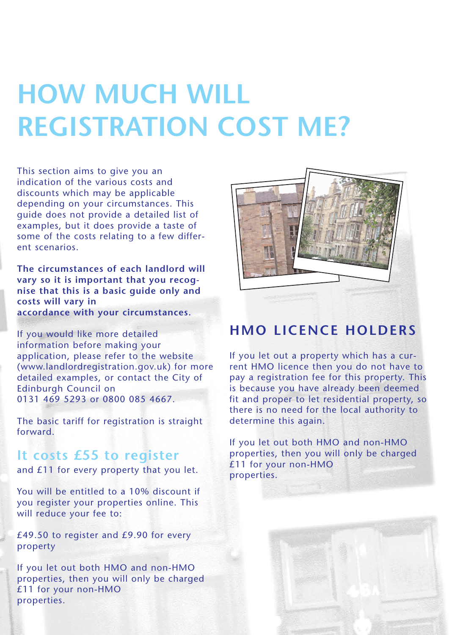### **HOW MUCH WILL REGISTRATION COST ME?**

This section aims to give you an indication of the various costs and discounts which may be applicable depending on your circumstances. This guide does not provide a detailed list of examples, but it does provide a taste of some of the costs relating to a few different scenarios.

**The circumstances of each landlord will vary so it is important that you recognise that this is a basic guide only and costs will vary in accordance with your circumstances.** 

If you would like more detailed information before making your application, please refer to the website (www.landlordregistration.gov.uk) for more detailed examples, or contact the City of Edinburgh Council on 0131 469 5293 or 0800 085 4667.

The basic tariff for registration is straight forward.

**It costs £55 to register** and £11 for every property that you let.

You will be entitled to a 10% discount if you register your properties online. This will reduce your fee to:

£49.50 to register and £9.90 for every property

If you let out both HMO and non-HMO properties, then you will only be charged £11 for your non-HMO properties.



#### **HMO LICENCE HOLDERS**

If you let out a property which has a current HMO licence then you do not have to pay a registration fee for this property. This is because you have already been deemed fit and proper to let residential property, so there is no need for the local authority to determine this again.

If you let out both HMO and non-HMO properties, then you will only be charged £11 for your non-HMO properties.

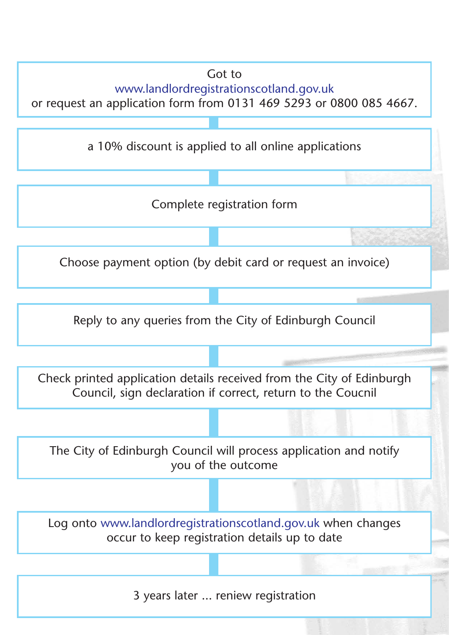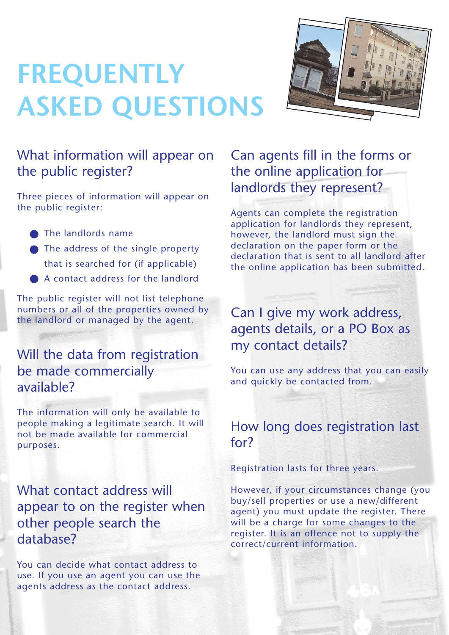## **FREQUENTLY ASKED QUESTIONS**



#### What information will appear on the public register?

Three pieces of information will appear on the public register:

- **The landlords name**
- The address of the single property that is searched for (if applicable)
- A contact address for the landlord

The public register will not list telephone numbers or all of the properties owned by the landlord or managed by the agent.

#### Will the data from registration be made commercially available?

The information will only be available to people making a legitimate search. It will not be made available for commercial purposes.

What contact address will appear to on the register when other people search the database?

You can decide what contact address to use. If you use an agent you can use the agents address as the contact address.

Can agents fill in the forms or the online application for landlords they represent?

Agents can complete the registration application for landlords they represent, however, the landlord must sign the declaration on the paper form or the declaration that is sent to all landlord after the online application has been submitted.

Can I give my work address, agents details, or a PO Box as my contact details?

You can use any address that you can easily and quickly be contacted from.

#### How long does registration last for?

Registration lasts for three years.

However, if your circumstances change (you buy/sell properties or use a new/different agent) you must update the register. There will be a charge for some changes to the register. It is an offence not to supply the correct/current information.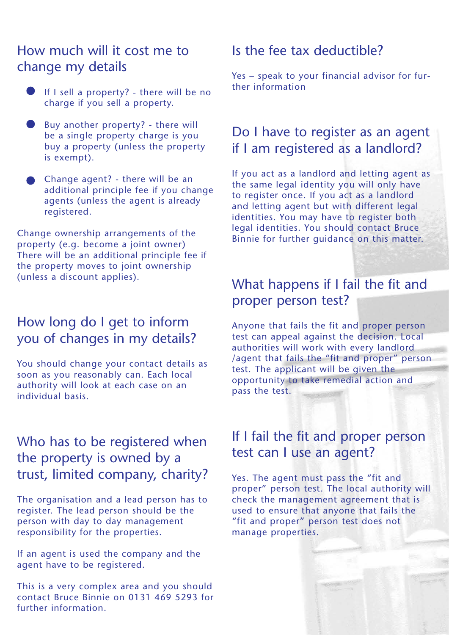#### How much will it cost me to change my details

- If I sell a property? there will be no charge if you sell a property.
- Buy another property? there will be a single property charge is you buy a property (unless the property is exempt).
- Change agent? there will be an additional principle fee if you change agents (unless the agent is already registered.

Change ownership arrangements of the property (e.g. become a joint owner) There will be an additional principle fee if the property moves to joint ownership (unless a discount applies).

#### How long do I get to inform you of changes in my details?

You should change your contact details as soon as you reasonably can. Each local authority will look at each case on an individual basis.

#### Who has to be registered when the property is owned by a trust, limited company, charity?

The organisation and a lead person has to register. The lead person should be the person with day to day management responsibility for the properties.

If an agent is used the company and the agent have to be registered.

This is a very complex area and you should contact Bruce Binnie on 0131 469 5293 for further information.

#### Is the fee tax deductible?

Yes – speak to your financial advisor for further information

#### Do I have to register as an agent if I am registered as a landlord?

If you act as a landlord and letting agent as the same legal identity you will only have to register once. If you act as a landlord and letting agent but with different legal identities. You may have to register both legal identities. You should contact Bruce Binnie for further guidance on this matter.

#### What happens if I fail the fit and proper person test?

Anyone that fails the fit and proper person test can appeal against the decision. Local authorities will work with every landlord /agent that fails the "fit and proper" person test. The applicant will be given the opportunity to take remedial action and pass the test.

#### If I fail the fit and proper person test can I use an agent?

Yes. The agent must pass the "fit and proper" person test. The local authority will check the management agreement that is used to ensure that anyone that fails the "fit and proper" person test does not manage properties.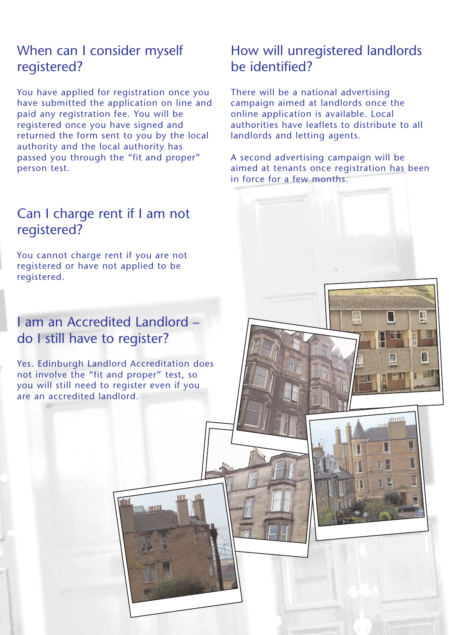#### When can I consider myself registered?

You have applied for registration once you have submitted the application on line and paid any registration fee. You will be registered once you have signed and returned the form sent to you by the local authority and the local authority has passed you through the "fit and proper" person test.

#### Can I charge rent if I am not registered?

You cannot charge rent if you are not registered or have not applied to be registered.

#### I am an Accredited Landlord – do I still have to register?

Yes. Edinburgh Landlord Accreditation does not involve the "fit and proper" test, so you will still need to register even if you are an accredited landlord.

#### How will unregistered landlords be identified?

There will be a national advertising campaign aimed at landlords once the online application is available. Local authorities have leaflets to distribute to all landlords and letting agents.

A second advertising campaign will be aimed at tenants once registration has been in force for a few months.